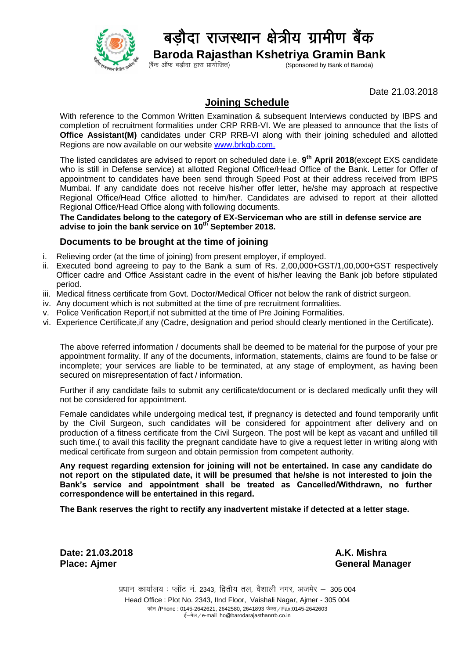

## बडौदा राजस्थान क्षेत्रीय ग्रामीण बैंक

**Baroda Rajasthan Kshetriya Gramin Bank**<br>(Sponsored by Bank of Baroda) (Sponsored by Bank of Baroda)

Date 21.03.2018

## **Joining Schedule**

With reference to the Common Written Examination & subsequent Interviews conducted by IBPS and completion of recruitment formalities under CRP RRB-VI. We are pleased to announce that the lists of **Office Assistant(M)** candidates under CRP RRB-VI along with their joining scheduled and allotted Regions are now available on our website [www.brkgb.com.](http://www.brkgb.com/)

The listed candidates are advised to report on scheduled date i.e. **9 th April 2018**(except EXS candidate who is still in Defense service) at allotted Regional Office/Head Office of the Bank. Letter for Offer of appointment to candidates have been send through Speed Post at their address received from IBPS Mumbai. If any candidate does not receive his/her offer letter, he/she may approach at respective Regional Office/Head Office allotted to him/her. Candidates are advised to report at their allotted Regional Office/Head Office along with following documents.

**The Candidates belong to the category of EX-Serviceman who are still in defense service are advise to join the bank service on 10th September 2018.**

## **Documents to be brought at the time of joining**

- i. Relieving order (at the time of joining) from present employer, if employed.
- ii. Executed bond agreeing to pay to the Bank a sum of Rs. 2,00,000+GST/1,00,000+GST respectively Officer cadre and Office Assistant cadre in the event of his/her leaving the Bank job before stipulated period.
- iii. Medical fitness certificate from Govt. Doctor/Medical Officer not below the rank of district surgeon.
- iv. Any document which is not submitted at the time of pre recruitment formalities.
- v. Police Verification Report,if not submitted at the time of Pre Joining Formalities.
- vi. Experience Certificate,if any (Cadre, designation and period should clearly mentioned in the Certificate).

The above referred information / documents shall be deemed to be material for the purpose of your pre appointment formality. If any of the documents, information, statements, claims are found to be false or incomplete; your services are liable to be terminated, at any stage of employment, as having been secured on misrepresentation of fact / information.

Further if any candidate fails to submit any certificate/document or is declared medically unfit they will not be considered for appointment.

Female candidates while undergoing medical test, if pregnancy is detected and found temporarily unfit by the Civil Surgeon, such candidates will be considered for appointment after delivery and on production of a fitness certificate from the Civil Surgeon. The post will be kept as vacant and unfilled till such time.( to avail this facility the pregnant candidate have to give a request letter in writing along with medical certificate from surgeon and obtain permission from competent authority.

**Any request regarding extension for joining will not be entertained. In case any candidate do not report on the stipulated date, it will be presumed that he/she is not interested to join the Bank's service and appointment shall be treated as Cancelled/Withdrawn, no further correspondence will be entertained in this regard.**

**The Bank reserves the right to rectify any inadvertent mistake if detected at a letter stage.**

**Date: 21.03.2018 A.K. Mishra**

**Place: Ajmer General Manager**

प्रधान कार्यालय : प्लॉट नं. 2343, द्वितीय तल, वैशाली नगर, अजमेर – 305 004 Head Office : Plot No. 2343, IInd Floor, Vaishali Nagar, Ajmer - 305 004 फोन /Phone : 0145-2642621, 2642580, 2641893 फेक्स / Fax:0145-2642603 ई-मेल/e-mail ho@barodarajasthanrrb.co.in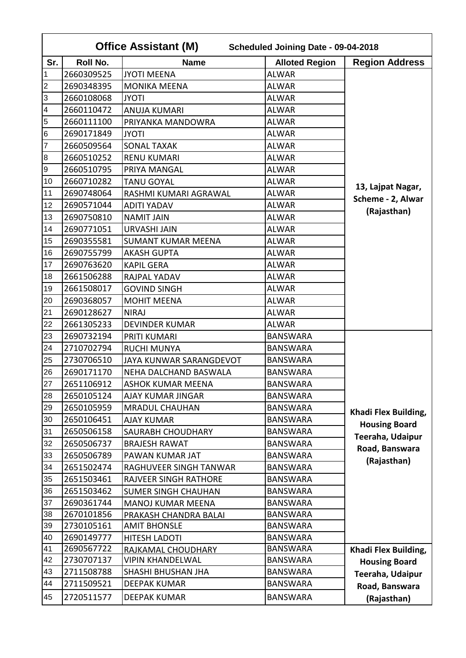|                         | <b>Office Assistant (M)</b><br>Scheduled Joining Date - 09-04-2018 |                            |                       |                       |  |
|-------------------------|--------------------------------------------------------------------|----------------------------|-----------------------|-----------------------|--|
| Sr.                     | Roll No.                                                           | <b>Name</b>                | <b>Alloted Region</b> | <b>Region Address</b> |  |
| $\mathbf 1$             | 2660309525                                                         | <b>JYOTI MEENA</b>         | <b>ALWAR</b>          |                       |  |
| $\overline{2}$          | 2690348395                                                         | <b>MONIKA MEENA</b>        | <b>ALWAR</b>          |                       |  |
| 3                       | 2660108068                                                         | <b>JYOTI</b>               | <b>ALWAR</b>          |                       |  |
| $\overline{\mathbf{4}}$ | 2660110472                                                         | <b>ANUJA KUMARI</b>        | <b>ALWAR</b>          |                       |  |
| $\overline{5}$          | 2660111100                                                         | PRIYANKA MANDOWRA          | <b>ALWAR</b>          |                       |  |
| $\,6$                   | 2690171849                                                         | <b>JYOTI</b>               | <b>ALWAR</b>          |                       |  |
| $\overline{7}$          | 2660509564                                                         | <b>SONAL TAXAK</b>         | <b>ALWAR</b>          |                       |  |
| $\bf 8$                 | 2660510252                                                         | <b>RENU KUMARI</b>         | <b>ALWAR</b>          |                       |  |
| $\boldsymbol{9}$        | 2660510795                                                         | PRIYA MANGAL               | <b>ALWAR</b>          |                       |  |
| 10                      | 2660710282                                                         | <b>TANU GOYAL</b>          | <b>ALWAR</b>          | 13, Lajpat Nagar,     |  |
| 11                      | 2690748064                                                         | RASHMI KUMARI AGRAWAL      | <b>ALWAR</b>          | Scheme - 2, Alwar     |  |
| 12                      | 2690571044                                                         | <b>ADITI YADAV</b>         | <b>ALWAR</b>          | (Rajasthan)           |  |
| 13                      | 2690750810                                                         | <b>NAMIT JAIN</b>          | <b>ALWAR</b>          |                       |  |
| 14                      | 2690771051                                                         | <b>URVASHI JAIN</b>        | <b>ALWAR</b>          |                       |  |
| 15                      | 2690355581                                                         | <b>SUMANT KUMAR MEENA</b>  | <b>ALWAR</b>          |                       |  |
| 16                      | 2690755799                                                         | <b>AKASH GUPTA</b>         | <b>ALWAR</b>          |                       |  |
| 17                      | 2690763620                                                         | <b>KAPIL GERA</b>          | <b>ALWAR</b>          |                       |  |
| 18                      | 2661506288                                                         | RAJPAL YADAV               | <b>ALWAR</b>          |                       |  |
| 19                      | 2661508017                                                         | <b>GOVIND SINGH</b>        | <b>ALWAR</b>          |                       |  |
| 20                      | 2690368057                                                         | <b>MOHIT MEENA</b>         | <b>ALWAR</b>          |                       |  |
| 21                      | 2690128627                                                         | <b>NIRAJ</b>               | <b>ALWAR</b>          |                       |  |
| 22                      | 2661305233                                                         | <b>DEVINDER KUMAR</b>      | <b>ALWAR</b>          |                       |  |
| 23                      | 2690732194                                                         | PRITI KUMARI               | <b>BANSWARA</b>       |                       |  |
| 24                      | 2710702794                                                         | <b>RUCHI MUNYA</b>         | <b>BANSWARA</b>       |                       |  |
| 25                      | 2730706510                                                         | JAYA KUNWAR SARANGDEVOT    | <b>BANSWARA</b>       |                       |  |
| 26                      | 2690171170                                                         | NEHA DALCHAND BASWALA      | <b>BANSWARA</b>       |                       |  |
| 27                      | 2651106912                                                         | <b>ASHOK KUMAR MEENA</b>   | <b>BANSWARA</b>       |                       |  |
| 28                      | 2650105124                                                         | AJAY KUMAR JINGAR          | <b>BANSWARA</b>       |                       |  |
| 29                      | 2650105959                                                         | <b>MRADUL CHAUHAN</b>      | <b>BANSWARA</b>       | Khadi Flex Building,  |  |
| 30                      | 2650106451                                                         | <b>AJAY KUMAR</b>          | <b>BANSWARA</b>       | <b>Housing Board</b>  |  |
| 31                      | 2650506158                                                         | SAURABH CHOUDHARY          | <b>BANSWARA</b>       | Teeraha, Udaipur      |  |
| 32                      | 2650506737                                                         | <b>BRAJESH RAWAT</b>       | <b>BANSWARA</b>       | Road, Banswara        |  |
| 33                      | 2650506789                                                         | PAWAN KUMAR JAT            | <b>BANSWARA</b>       | (Rajasthan)           |  |
| 34                      | 2651502474                                                         | RAGHUVEER SINGH TANWAR     | <b>BANSWARA</b>       |                       |  |
| 35                      | 2651503461                                                         | RAJVEER SINGH RATHORE      | <b>BANSWARA</b>       |                       |  |
| 36                      | 2651503462                                                         | <b>SUMER SINGH CHAUHAN</b> | <b>BANSWARA</b>       |                       |  |
| 37                      | 2690361744                                                         | <b>MANOJ KUMAR MEENA</b>   | <b>BANSWARA</b>       |                       |  |
| 38                      | 2670101856                                                         | PRAKASH CHANDRA BALAI      | <b>BANSWARA</b>       |                       |  |
| 39                      | 2730105161                                                         | <b>AMIT BHONSLE</b>        | <b>BANSWARA</b>       |                       |  |
| 40                      | 2690149777                                                         | <b>HITESH LADOTI</b>       | <b>BANSWARA</b>       |                       |  |
| 41                      | 2690567722                                                         | RAJKAMAL CHOUDHARY         | <b>BANSWARA</b>       | Khadi Flex Building,  |  |
| 42                      | 2730707137                                                         | <b>VIPIN KHANDELWAL</b>    | <b>BANSWARA</b>       | <b>Housing Board</b>  |  |
| 43                      | 2711508788                                                         | SHASHI BHUSHAN JHA         | <b>BANSWARA</b>       | Teeraha, Udaipur      |  |
| 44                      | 2711509521                                                         | <b>DEEPAK KUMAR</b>        | <b>BANSWARA</b>       | Road, Banswara        |  |
| 45                      | 2720511577                                                         | <b>DEEPAK KUMAR</b>        | <b>BANSWARA</b>       | (Rajasthan)           |  |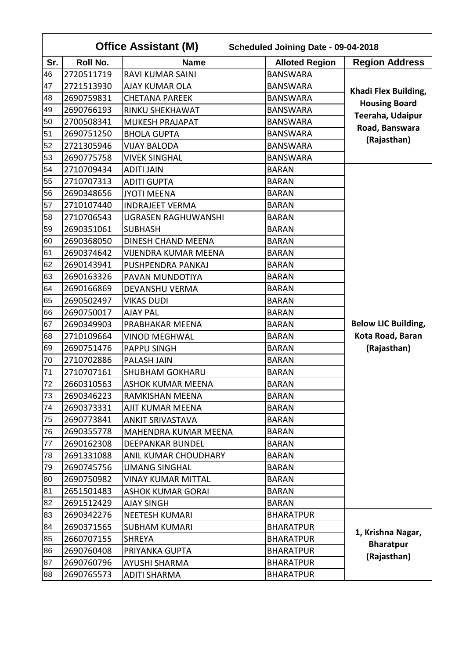|     | <b>Office Assistant (M)</b><br>Scheduled Joining Date - 09-04-2018 |                             |                       |                            |  |  |
|-----|--------------------------------------------------------------------|-----------------------------|-----------------------|----------------------------|--|--|
| Sr. | <b>Roll No.</b>                                                    | <b>Name</b>                 | <b>Alloted Region</b> | <b>Region Address</b>      |  |  |
| 46  | 2720511719                                                         | <b>RAVI KUMAR SAINI</b>     | <b>BANSWARA</b>       |                            |  |  |
| 47  | 2721513930                                                         | <b>AJAY KUMAR OLA</b>       | <b>BANSWARA</b>       |                            |  |  |
| 48  | 2690759831                                                         | <b>CHETANA PAREEK</b>       | <b>BANSWARA</b>       | Khadi Flex Building,       |  |  |
| 49  | 2690766193                                                         | RINKU SHEKHAWAT             | <b>BANSWARA</b>       | <b>Housing Board</b>       |  |  |
| 50  | 2700508341                                                         | MUKESH PRAJAPAT             | <b>BANSWARA</b>       | Teeraha, Udaipur           |  |  |
| 51  | 2690751250                                                         | <b>BHOLA GUPTA</b>          | <b>BANSWARA</b>       | Road, Banswara             |  |  |
| 52  | 2721305946                                                         | <b>VIJAY BALODA</b>         | <b>BANSWARA</b>       | (Rajasthan)                |  |  |
| 53  | 2690775758                                                         | <b>VIVEK SINGHAL</b>        | <b>BANSWARA</b>       |                            |  |  |
| 54  | 2710709434                                                         | <b>ADITI JAIN</b>           | <b>BARAN</b>          |                            |  |  |
| 55  | 2710707313                                                         | <b>ADITI GUPTA</b>          | <b>BARAN</b>          |                            |  |  |
| 56  | 2690348656                                                         | <b>JYOTI MEENA</b>          | <b>BARAN</b>          |                            |  |  |
| 57  | 2710107440                                                         | <b>INDRAJEET VERMA</b>      | <b>BARAN</b>          |                            |  |  |
| 58  | 2710706543                                                         | <b>UGRASEN RAGHUWANSHI</b>  | <b>BARAN</b>          |                            |  |  |
| 59  | 2690351061                                                         | <b>SUBHASH</b>              | <b>BARAN</b>          |                            |  |  |
| 60  | 2690368050                                                         | DINESH CHAND MEENA          | <b>BARAN</b>          |                            |  |  |
| 61  | 2690374642                                                         | <b>VIJENDRA KUMAR MEENA</b> | <b>BARAN</b>          |                            |  |  |
| 62  | 2690143941                                                         | PUSHPENDRA PANKAJ           | <b>BARAN</b>          |                            |  |  |
| 63  | 2690163326                                                         | PAVAN MUNDOTIYA             | <b>BARAN</b>          |                            |  |  |
| 64  | 2690166869                                                         | DEVANSHU VERMA              | <b>BARAN</b>          |                            |  |  |
| 65  | 2690502497                                                         | <b>VIKAS DUDI</b>           | <b>BARAN</b>          |                            |  |  |
| 66  | 2690750017                                                         | <b>AJAY PAL</b>             | <b>BARAN</b>          |                            |  |  |
| 67  | 2690349903                                                         | PRABHAKAR MEENA             | <b>BARAN</b>          | <b>Below LIC Building,</b> |  |  |
| 68  | 2710109664                                                         | <b>VINOD MEGHWAL</b>        | <b>BARAN</b>          | Kota Road, Baran           |  |  |
| 69  | 2690751476                                                         | <b>PAPPU SINGH</b>          | <b>BARAN</b>          | (Rajasthan)                |  |  |
| 70  | 2710702886                                                         | PALASH JAIN                 | <b>BARAN</b>          |                            |  |  |
| 71  | 2710707161                                                         | <b>SHUBHAM GOKHARU</b>      | <b>BARAN</b>          |                            |  |  |
| 72  | 2660310563                                                         | <b>ASHOK KUMAR MEENA</b>    | <b>BARAN</b>          |                            |  |  |
| 73  | 2690346223                                                         | RAMKISHAN MEENA             | <b>BARAN</b>          |                            |  |  |
| 74  | 2690373331                                                         | AJIT KUMAR MEENA            | <b>BARAN</b>          |                            |  |  |
| 75  | 2690773841                                                         | <b>ANKIT SRIVASTAVA</b>     | <b>BARAN</b>          |                            |  |  |
| 76  | 2690355778                                                         | MAHENDRA KUMAR MEENA        | <b>BARAN</b>          |                            |  |  |
| 77  | 2690162308                                                         | <b>DEEPANKAR BUNDEL</b>     | <b>BARAN</b>          |                            |  |  |
| 78  | 2691331088                                                         | ANIL KUMAR CHOUDHARY        | <b>BARAN</b>          |                            |  |  |
| 79  | 2690745756                                                         | <b>UMANG SINGHAL</b>        | <b>BARAN</b>          |                            |  |  |
| 80  | 2690750982                                                         | <b>VINAY KUMAR MITTAL</b>   | <b>BARAN</b>          |                            |  |  |
| 81  | 2651501483                                                         | <b>ASHOK KUMAR GORAI</b>    | <b>BARAN</b>          |                            |  |  |
| 82  | 2691512429                                                         | <b>AJAY SINGH</b>           | <b>BARAN</b>          |                            |  |  |
| 83  | 2690342276                                                         | NEETESH KUMARI              | <b>BHARATPUR</b>      |                            |  |  |
| 84  | 2690371565                                                         | <b>SUBHAM KUMARI</b>        | <b>BHARATPUR</b>      | 1, Krishna Nagar,          |  |  |
| 85  | 2660707155                                                         | <b>SHREYA</b>               | <b>BHARATPUR</b>      | <b>Bharatpur</b>           |  |  |
| 86  | 2690760408                                                         | PRIYANKA GUPTA              | <b>BHARATPUR</b>      | (Rajasthan)                |  |  |
| 87  | 2690760796                                                         | AYUSHI SHARMA               | <b>BHARATPUR</b>      |                            |  |  |
| 88  | 2690765573                                                         | <b>ADITI SHARMA</b>         | <b>BHARATPUR</b>      |                            |  |  |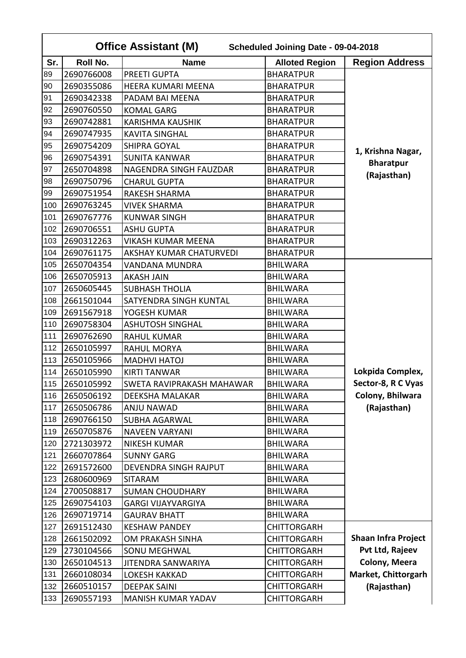|     | <b>Office Assistant (M)</b><br>Scheduled Joining Date - 09-04-2018 |                           |                       |                            |  |
|-----|--------------------------------------------------------------------|---------------------------|-----------------------|----------------------------|--|
| Sr. | <b>Roll No.</b>                                                    | <b>Name</b>               | <b>Alloted Region</b> | <b>Region Address</b>      |  |
| 89  | 2690766008                                                         | <b>PREETI GUPTA</b>       | <b>BHARATPUR</b>      |                            |  |
| 90  | 2690355086                                                         | <b>HEERA KUMARI MEENA</b> | <b>BHARATPUR</b>      |                            |  |
| 91  | 2690342338                                                         | PADAM BAI MEENA           | <b>BHARATPUR</b>      |                            |  |
| 92  | 2690760550                                                         | <b>KOMAL GARG</b>         | <b>BHARATPUR</b>      |                            |  |
| 93  | 2690742881                                                         | <b>KARISHMA KAUSHIK</b>   | <b>BHARATPUR</b>      |                            |  |
| 94  | 2690747935                                                         | <b>KAVITA SINGHAL</b>     | <b>BHARATPUR</b>      |                            |  |
| 95  | 2690754209                                                         | SHIPRA GOYAL              | <b>BHARATPUR</b>      | 1, Krishna Nagar,          |  |
| 96  | 2690754391                                                         | <b>SUNITA KANWAR</b>      | <b>BHARATPUR</b>      | <b>Bharatpur</b>           |  |
| 97  | 2650704898                                                         | NAGENDRA SINGH FAUZDAR    | <b>BHARATPUR</b>      | (Rajasthan)                |  |
| 98  | 2690750796                                                         | <b>CHARUL GUPTA</b>       | <b>BHARATPUR</b>      |                            |  |
| 99  | 2690751954                                                         | <b>RAKESH SHARMA</b>      | <b>BHARATPUR</b>      |                            |  |
| 100 | 2690763245                                                         | <b>VIVEK SHARMA</b>       | <b>BHARATPUR</b>      |                            |  |
| 101 | 2690767776                                                         | <b>KUNWAR SINGH</b>       | <b>BHARATPUR</b>      |                            |  |
| 102 | 2690706551                                                         | <b>ASHU GUPTA</b>         | <b>BHARATPUR</b>      |                            |  |
| 103 | 2690312263                                                         | <b>VIKASH KUMAR MEENA</b> | <b>BHARATPUR</b>      |                            |  |
| 104 | 2690761175                                                         | AKSHAY KUMAR CHATURVEDI   | <b>BHARATPUR</b>      |                            |  |
| 105 | 2650704354                                                         | <b>VANDANA MUNDRA</b>     | <b>BHILWARA</b>       |                            |  |
| 106 | 2650705913                                                         | <b>AKASH JAIN</b>         | <b>BHILWARA</b>       |                            |  |
| 107 | 2650605445                                                         | <b>SUBHASH THOLIA</b>     | <b>BHILWARA</b>       |                            |  |
| 108 | 2661501044                                                         | SATYENDRA SINGH KUNTAL    | <b>BHILWARA</b>       |                            |  |
| 109 | 2691567918                                                         | YOGESH KUMAR              | <b>BHILWARA</b>       |                            |  |
| 110 | 2690758304                                                         | <b>ASHUTOSH SINGHAL</b>   | <b>BHILWARA</b>       |                            |  |
| 111 | 2690762690                                                         | <b>RAHUL KUMAR</b>        | <b>BHILWARA</b>       |                            |  |
| 112 | 2650105997                                                         | <b>RAHUL MORYA</b>        | <b>BHILWARA</b>       |                            |  |
| 113 | 2650105966                                                         | <b>MADHVI HATOJ</b>       | <b>BHILWARA</b>       |                            |  |
| 114 | 2650105990                                                         | <b>KIRTI TANWAR</b>       | <b>BHILWARA</b>       | Lokpida Complex,           |  |
| 115 | 2650105992                                                         | SWETA RAVIPRAKASH MAHAWAR | <b>BHILWARA</b>       | Sector-8, R C Vyas         |  |
| 116 | 2650506192                                                         | DEEKSHA MALAKAR           | <b>BHILWARA</b>       | Colony, Bhilwara           |  |
| 117 | 2650506786                                                         | ANJU NAWAD                | <b>BHILWARA</b>       | (Rajasthan)                |  |
| 118 | 2690766150                                                         | <b>SUBHA AGARWAL</b>      | <b>BHILWARA</b>       |                            |  |
| 119 | 2650705876                                                         | <b>NAVEEN VARYANI</b>     | <b>BHILWARA</b>       |                            |  |
| 120 | 2721303972                                                         | <b>NIKESH KUMAR</b>       | <b>BHILWARA</b>       |                            |  |
| 121 | 2660707864                                                         | <b>SUNNY GARG</b>         | <b>BHILWARA</b>       |                            |  |
| 122 | 2691572600                                                         | DEVENDRA SINGH RAJPUT     | <b>BHILWARA</b>       |                            |  |
| 123 | 2680600969                                                         | <b>SITARAM</b>            | <b>BHILWARA</b>       |                            |  |
| 124 | 2700508817                                                         | <b>SUMAN CHOUDHARY</b>    | <b>BHILWARA</b>       |                            |  |
| 125 | 2690754103                                                         | <b>GARGI VIJAYVARGIYA</b> | <b>BHILWARA</b>       |                            |  |
| 126 | 2690719714                                                         | <b>GAURAV BHATT</b>       | <b>BHILWARA</b>       |                            |  |
| 127 | 2691512430                                                         | <b>KESHAW PANDEY</b>      | <b>CHITTORGARH</b>    |                            |  |
| 128 | 2661502092                                                         | OM PRAKASH SINHA          | <b>CHITTORGARH</b>    | <b>Shaan Infra Project</b> |  |
| 129 | 2730104566                                                         | <b>SONU MEGHWAL</b>       | CHITTORGARH           | Pvt Ltd, Rajeev            |  |
| 130 | 2650104513                                                         | JITENDRA SANWARIYA        | <b>CHITTORGARH</b>    | Colony, Meera              |  |
| 131 | 2660108034                                                         | LOKESH KAKKAD             | <b>CHITTORGARH</b>    | Market, Chittorgarh        |  |
| 132 | 2660510157                                                         | <b>DEEPAK SAINI</b>       | <b>CHITTORGARH</b>    | (Rajasthan)                |  |
| 133 | 2690557193                                                         | MANISH KUMAR YADAV        | <b>CHITTORGARH</b>    |                            |  |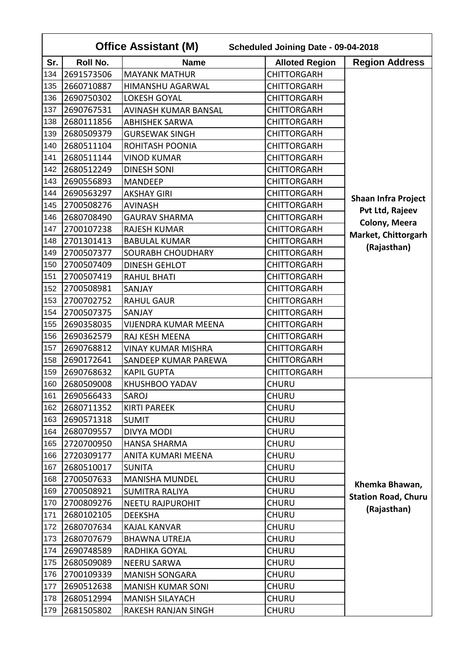|     | <b>Office Assistant (M)</b><br>Scheduled Joining Date - 09-04-2018 |                             |                       |                            |  |
|-----|--------------------------------------------------------------------|-----------------------------|-----------------------|----------------------------|--|
| Sr. | <b>Roll No.</b>                                                    | <b>Name</b>                 | <b>Alloted Region</b> | <b>Region Address</b>      |  |
| 134 | 2691573506                                                         | <b>MAYANK MATHUR</b>        | <b>CHITTORGARH</b>    |                            |  |
| 135 | 2660710887                                                         | <b>HIMANSHU AGARWAL</b>     | <b>CHITTORGARH</b>    |                            |  |
| 136 | 2690750302                                                         | <b>LOKESH GOYAL</b>         | <b>CHITTORGARH</b>    |                            |  |
| 137 | 2690767531                                                         | AVINASH KUMAR BANSAL        | <b>CHITTORGARH</b>    |                            |  |
| 138 | 2680111856                                                         | <b>ABHISHEK SARWA</b>       | <b>CHITTORGARH</b>    |                            |  |
| 139 | 2680509379                                                         | <b>GURSEWAK SINGH</b>       | <b>CHITTORGARH</b>    |                            |  |
| 140 | 2680511104                                                         | ROHITASH POONIA             | <b>CHITTORGARH</b>    |                            |  |
| 141 | 2680511144                                                         | <b>VINOD KUMAR</b>          | <b>CHITTORGARH</b>    |                            |  |
| 142 | 2680512249                                                         | <b>DINESH SONI</b>          | <b>CHITTORGARH</b>    |                            |  |
| 143 | 2690556893                                                         | <b>MANDEEP</b>              | <b>CHITTORGARH</b>    |                            |  |
| 144 | 2690563297                                                         | <b>AKSHAY GIRI</b>          | <b>CHITTORGARH</b>    | <b>Shaan Infra Project</b> |  |
| 145 | 2700508276                                                         | <b>AVINASH</b>              | <b>CHITTORGARH</b>    | Pvt Ltd, Rajeev            |  |
| 146 | 2680708490                                                         | <b>GAURAV SHARMA</b>        | <b>CHITTORGARH</b>    | Colony, Meera              |  |
| 147 | 2700107238                                                         | <b>RAJESH KUMAR</b>         | <b>CHITTORGARH</b>    |                            |  |
| 148 | 2701301413                                                         | <b>BABULAL KUMAR</b>        | <b>CHITTORGARH</b>    | Market, Chittorgarh        |  |
| 149 | 2700507377                                                         | <b>SOURABH CHOUDHARY</b>    | <b>CHITTORGARH</b>    | (Rajasthan)                |  |
| 150 | 2700507409                                                         | <b>DINESH GEHLOT</b>        | <b>CHITTORGARH</b>    |                            |  |
| 151 | 2700507419                                                         | <b>RAHUL BHATI</b>          | <b>CHITTORGARH</b>    |                            |  |
| 152 | 2700508981                                                         | SANJAY                      | <b>CHITTORGARH</b>    |                            |  |
| 153 | 2700702752                                                         | <b>RAHUL GAUR</b>           | <b>CHITTORGARH</b>    |                            |  |
| 154 | 2700507375                                                         | SANJAY                      | <b>CHITTORGARH</b>    |                            |  |
| 155 | 2690358035                                                         | <b>VIJENDRA KUMAR MEENA</b> | <b>CHITTORGARH</b>    |                            |  |
| 156 | 2690362579                                                         | RAJ KESH MEENA              | <b>CHITTORGARH</b>    |                            |  |
| 157 | 2690768812                                                         | <b>VINAY KUMAR MISHRA</b>   | <b>CHITTORGARH</b>    |                            |  |
| 158 | 2690172641                                                         | SANDEEP KUMAR PAREWA        | <b>CHITTORGARH</b>    |                            |  |
| 159 | 2690768632                                                         | <b>KAPIL GUPTA</b>          | <b>CHITTORGARH</b>    |                            |  |
| 160 | 2680509008                                                         | KHUSHBOO YADAV              | <b>CHURU</b>          |                            |  |
| 161 | 2690566433                                                         | SAROJ                       | <b>CHURU</b>          |                            |  |
| 162 | 2680711352                                                         | <b>KIRTI PAREEK</b>         | <b>CHURU</b>          |                            |  |
| 163 | 2690571318                                                         | <b>SUMIT</b>                | <b>CHURU</b>          |                            |  |
| 164 | 2680709557                                                         | DIVYA MODI                  | <b>CHURU</b>          |                            |  |
| 165 | 2720700950                                                         | <b>HANSA SHARMA</b>         | <b>CHURU</b>          |                            |  |
| 166 | 2720309177                                                         | ANITA KUMARI MEENA          | <b>CHURU</b>          |                            |  |
| 167 | 2680510017                                                         | <b>SUNITA</b>               | <b>CHURU</b>          |                            |  |
| 168 | 2700507633                                                         | <b>MANISHA MUNDEL</b>       | <b>CHURU</b>          | Khemka Bhawan,             |  |
| 169 | 2700508921                                                         | <b>SUMITRA RALIYA</b>       | <b>CHURU</b>          | <b>Station Road, Churu</b> |  |
| 170 | 2700809276                                                         | <b>NEETU RAJPUROHIT</b>     | <b>CHURU</b>          | (Rajasthan)                |  |
| 171 | 2680102105                                                         | <b>DEEKSHA</b>              | <b>CHURU</b>          |                            |  |
| 172 | 2680707634                                                         | <b>KAJAL KANVAR</b>         | <b>CHURU</b>          |                            |  |
| 173 | 2680707679                                                         | <b>BHAWNA UTREJA</b>        | <b>CHURU</b>          |                            |  |
| 174 | 2690748589                                                         | RADHIKA GOYAL               | <b>CHURU</b>          |                            |  |
| 175 | 2680509089                                                         | <b>NEERU SARWA</b>          | <b>CHURU</b>          |                            |  |
| 176 | 2700109339                                                         | <b>MANISH SONGARA</b>       | <b>CHURU</b>          |                            |  |
| 177 | 2690512638                                                         | <b>MANISH KUMAR SONI</b>    | <b>CHURU</b>          |                            |  |
| 178 | 2680512994                                                         | <b>MANISH SILAYACH</b>      | <b>CHURU</b>          |                            |  |
| 179 | 2681505802                                                         | RAKESH RANJAN SINGH         | <b>CHURU</b>          |                            |  |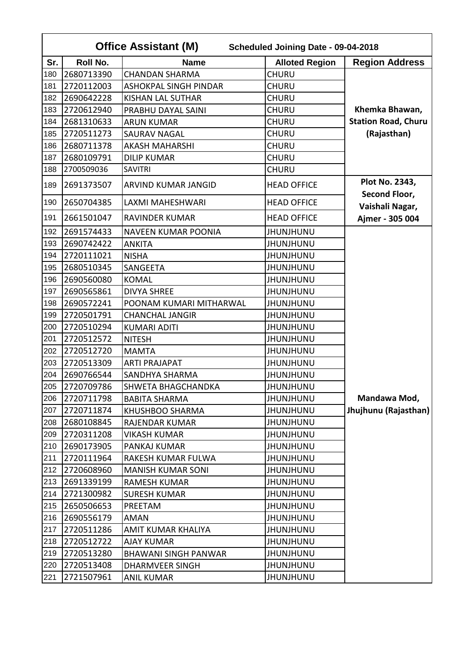|     | <b>Office Assistant (M)</b><br>Scheduled Joining Date - 09-04-2018 |                              |                       |                                 |  |
|-----|--------------------------------------------------------------------|------------------------------|-----------------------|---------------------------------|--|
| Sr. | <b>Roll No.</b>                                                    | <b>Name</b>                  | <b>Alloted Region</b> | <b>Region Address</b>           |  |
| 180 | 2680713390                                                         | <b>CHANDAN SHARMA</b>        | <b>CHURU</b>          |                                 |  |
| 181 | 2720112003                                                         | <b>ASHOKPAL SINGH PINDAR</b> | <b>CHURU</b>          |                                 |  |
| 182 | 2690642228                                                         | <b>KISHAN LAL SUTHAR</b>     | <b>CHURU</b>          |                                 |  |
| 183 | 2720612940                                                         | PRABHU DAYAL SAINI           | <b>CHURU</b>          | Khemka Bhawan,                  |  |
| 184 | 2681310633                                                         | <b>ARUN KUMAR</b>            | CHURU                 | <b>Station Road, Churu</b>      |  |
| 185 | 2720511273                                                         | <b>SAURAV NAGAL</b>          | CHURU                 | (Rajasthan)                     |  |
| 186 | 2680711378                                                         | <b>AKASH MAHARSHI</b>        | <b>CHURU</b>          |                                 |  |
| 187 | 2680109791                                                         | <b>DILIP KUMAR</b>           | CHURU                 |                                 |  |
| 188 | 2700509036                                                         | <b>SAVITRI</b>               | <b>CHURU</b>          |                                 |  |
| 189 | 2691373507                                                         | <b>ARVIND KUMAR JANGID</b>   | <b>HEAD OFFICE</b>    | Plot No. 2343,<br>Second Floor, |  |
| 190 | 2650704385                                                         | LAXMI MAHESHWARI             | <b>HEAD OFFICE</b>    | Vaishali Nagar,                 |  |
| 191 | 2661501047                                                         | <b>RAVINDER KUMAR</b>        | <b>HEAD OFFICE</b>    | Ajmer - 305 004                 |  |
| 192 | 2691574433                                                         | <b>NAVEEN KUMAR POONIA</b>   | <b>JHUNJHUNU</b>      |                                 |  |
| 193 | 2690742422                                                         | <b>ANKITA</b>                | <b>JHUNJHUNU</b>      |                                 |  |
| 194 | 2720111021                                                         | <b>NISHA</b>                 | <b>UNUHLNUHL</b>      |                                 |  |
| 195 | 2680510345                                                         | SANGEETA                     | <b>JHUNJHUNU</b>      |                                 |  |
| 196 | 2690560080                                                         | <b>KOMAL</b>                 | <b>JHUNJHUNU</b>      |                                 |  |
| 197 | 2690565861                                                         | <b>DIVYA SHREE</b>           | <b>JHUNJHUNU</b>      |                                 |  |
| 198 | 2690572241                                                         | POONAM KUMARI MITHARWAL      | <b>JHUNJHUNU</b>      |                                 |  |
| 199 | 2720501791                                                         | <b>CHANCHAL JANGIR</b>       | <b>JHUNJHUNU</b>      |                                 |  |
| 200 | 2720510294                                                         | <b>KUMARI ADITI</b>          | <b>JHUNJHUNU</b>      |                                 |  |
| 201 | 2720512572                                                         | <b>NITESH</b>                | <b>JHUNJHUNU</b>      |                                 |  |
| 202 | 2720512720                                                         | <b>MAMTA</b>                 | <b>JHUNJHUNU</b>      |                                 |  |
| 203 | 2720513309                                                         | <b>ARTI PRAJAPAT</b>         | <b>JHUNJHUNU</b>      |                                 |  |
| 204 | 2690766544                                                         | SANDHYA SHARMA               | <b>JHUNJHUNU</b>      |                                 |  |
| 205 | 2720709786                                                         | SHWETA BHAGCHANDKA           | <b>JHUNJHUNU</b>      |                                 |  |
| 206 | 2720711798                                                         | <b>BABITA SHARMA</b>         | <b>JHUNJHUNU</b>      | Mandawa Mod,                    |  |
| 207 | 2720711874                                                         | KHUSHBOO SHARMA              | <b>UNUHLNUHL</b>      | Jhujhunu (Rajasthan)            |  |
| 208 | 2680108845                                                         | RAJENDAR KUMAR               | <b>JHUNJHUNU</b>      |                                 |  |
| 209 | 2720311208                                                         | VIKASH KUMAR                 | <b>JHUNJHUNU</b>      |                                 |  |
| 210 | 2690173905                                                         | PANKAJ KUMAR                 | <b>JHUNJHUNU</b>      |                                 |  |
| 211 | 2720111964                                                         | RAKESH KUMAR FULWA           | JHUNJHUNU             |                                 |  |
| 212 | 2720608960                                                         | <b>MANISH KUMAR SONI</b>     | JHUNJHUNU             |                                 |  |
| 213 | 2691339199                                                         | <b>RAMESH KUMAR</b>          | <b>JHUNJHUNU</b>      |                                 |  |
| 214 | 2721300982                                                         | <b>SURESH KUMAR</b>          | <b>UNUHLNUHL</b>      |                                 |  |
| 215 | 2650506653                                                         | PREETAM                      | <b>JHUNJHUNU</b>      |                                 |  |
| 216 | 2690556179                                                         | AMAN                         | <b>UNUHLNUHL</b>      |                                 |  |
| 217 | 2720511286                                                         | AMIT KUMAR KHALIYA           | <b>JHUNJHUNU</b>      |                                 |  |
| 218 | 2720512722                                                         | <b>AJAY KUMAR</b>            | <b>JHUNJHUNU</b>      |                                 |  |
| 219 | 2720513280                                                         | <b>BHAWANI SINGH PANWAR</b>  | <b>JHUNJHUNU</b>      |                                 |  |
| 220 | 2720513408                                                         | DHARMVEER SINGH              | <b>JHUNJHUNU</b>      |                                 |  |
| 221 | 2721507961                                                         | <b>ANIL KUMAR</b>            | <b>JHUNJHUNU</b>      |                                 |  |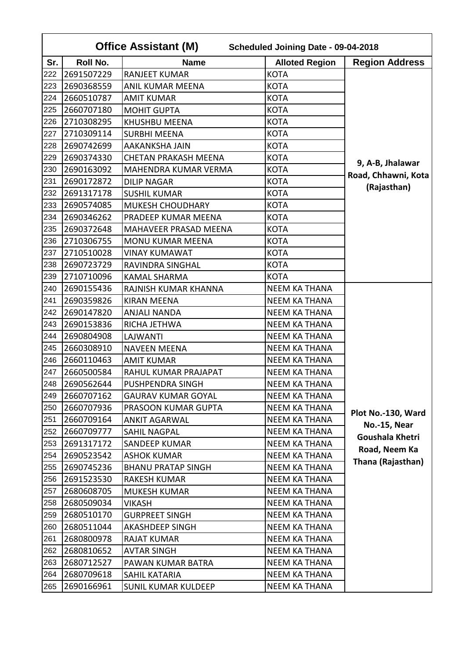|     | <b>Office Assistant (M)</b><br>Scheduled Joining Date - 09-04-2018 |                             |                       |                       |  |
|-----|--------------------------------------------------------------------|-----------------------------|-----------------------|-----------------------|--|
| Sr. | Roll No.                                                           | <b>Name</b>                 | <b>Alloted Region</b> | <b>Region Address</b> |  |
| 222 | 2691507229                                                         | <b>RANJEET KUMAR</b>        | <b>KOTA</b>           |                       |  |
| 223 | 2690368559                                                         | <b>ANIL KUMAR MEENA</b>     | <b>KOTA</b>           |                       |  |
| 224 | 2660510787                                                         | <b>AMIT KUMAR</b>           | <b>KOTA</b>           |                       |  |
| 225 | 2660707180                                                         | <b>MOHIT GUPTA</b>          | <b>KOTA</b>           |                       |  |
| 226 | 2710308295                                                         | KHUSHBU MEENA               | <b>KOTA</b>           |                       |  |
| 227 | 2710309114                                                         | <b>SURBHI MEENA</b>         | <b>KOTA</b>           |                       |  |
| 228 | 2690742699                                                         | <b>AAKANKSHA JAIN</b>       | <b>KOTA</b>           |                       |  |
| 229 | 2690374330                                                         | <b>CHETAN PRAKASH MEENA</b> | <b>KOTA</b>           | 9, A-B, Jhalawar      |  |
| 230 | 2690163092                                                         | MAHENDRA KUMAR VERMA        | <b>KOTA</b>           | Road, Chhawni, Kota   |  |
| 231 | 2690172872                                                         | <b>DILIP NAGAR</b>          | KOTA                  |                       |  |
| 232 | 2691317178                                                         | <b>SUSHIL KUMAR</b>         | <b>KOTA</b>           | (Rajasthan)           |  |
| 233 | 2690574085                                                         | <b>MUKESH CHOUDHARY</b>     | <b>KOTA</b>           |                       |  |
| 234 | 2690346262                                                         | PRADEEP KUMAR MEENA         | KOTA                  |                       |  |
| 235 | 2690372648                                                         | MAHAVEER PRASAD MEENA       | <b>KOTA</b>           |                       |  |
| 236 | 2710306755                                                         | MONU KUMAR MEENA            | <b>KOTA</b>           |                       |  |
| 237 | 2710510028                                                         | <b>VINAY KUMAWAT</b>        | <b>KOTA</b>           |                       |  |
| 238 | 2690723729                                                         | RAVINDRA SINGHAL            | <b>KOTA</b>           |                       |  |
| 239 | 2710710096                                                         | <b>KAMAL SHARMA</b>         | <b>KOTA</b>           |                       |  |
| 240 | 2690155436                                                         | RAJNISH KUMAR KHANNA        | <b>NEEM KA THANA</b>  |                       |  |
| 241 | 2690359826                                                         | <b>KIRAN MEENA</b>          | <b>NEEM KA THANA</b>  |                       |  |
| 242 | 2690147820                                                         | <b>ANJALI NANDA</b>         | <b>NEEM KA THANA</b>  |                       |  |
| 243 | 2690153836                                                         | RICHA JETHWA                | <b>NEEM KA THANA</b>  |                       |  |
| 244 | 2690804908                                                         | LAJWANTI                    | <b>NEEM KA THANA</b>  |                       |  |
| 245 | 2660308910                                                         | <b>NAVEEN MEENA</b>         | <b>NEEM KA THANA</b>  |                       |  |
| 246 | 2660110463                                                         | <b>AMIT KUMAR</b>           | <b>NEEM KA THANA</b>  |                       |  |
| 247 | 2660500584                                                         | RAHUL KUMAR PRAJAPAT        | <b>NEEM KA THANA</b>  |                       |  |
| 248 | 2690562644                                                         | PUSHPENDRA SINGH            | NEEM KA THANA         |                       |  |
| 249 | 2660707162                                                         | <b>GAURAV KUMAR GOYAL</b>   | <b>NEEM KA THANA</b>  |                       |  |
| 250 | 2660707936                                                         | PRASOON KUMAR GUPTA         | <b>NEEM KA THANA</b>  | Plot No.-130, Ward    |  |
| 251 | 2660709164                                                         | <b>ANKIT AGARWAL</b>        | NEEM KA THANA         | No.-15, Near          |  |
| 252 | 2660709777                                                         | SAHIL NAGPAL                | <b>NEEM KA THANA</b>  | Goushala Khetri       |  |
| 253 | 2691317172                                                         | SANDEEP KUMAR               | NEEM KA THANA         | Road, Neem Ka         |  |
| 254 | 2690523542                                                         | <b>ASHOK KUMAR</b>          | <b>NEEM KA THANA</b>  | Thana (Rajasthan)     |  |
| 255 | 2690745236                                                         | <b>BHANU PRATAP SINGH</b>   | <b>NEEM KA THANA</b>  |                       |  |
| 256 | 2691523530                                                         | <b>RAKESH KUMAR</b>         | <b>NEEM KA THANA</b>  |                       |  |
| 257 | 2680608705                                                         | <b>MUKESH KUMAR</b>         | <b>NEEM KA THANA</b>  |                       |  |
| 258 | 2680509034                                                         | <b>VIKASH</b>               | <b>NEEM KA THANA</b>  |                       |  |
| 259 | 2680510170                                                         | <b>GURPREET SINGH</b>       | <b>NEEM KA THANA</b>  |                       |  |
| 260 | 2680511044                                                         | AKASHDEEP SINGH             | <b>NEEM KA THANA</b>  |                       |  |
| 261 | 2680800978                                                         | <b>RAJAT KUMAR</b>          | <b>NEEM KA THANA</b>  |                       |  |
| 262 | 2680810652                                                         | <b>AVTAR SINGH</b>          | <b>NEEM KA THANA</b>  |                       |  |
| 263 | 2680712527                                                         | PAWAN KUMAR BATRA           | NEEM KA THANA         |                       |  |
| 264 | 2680709618                                                         | SAHIL KATARIA               | NEEM KA THANA         |                       |  |
| 265 | 2690166961                                                         | <b>SUNIL KUMAR KULDEEP</b>  | <b>NEEM KA THANA</b>  |                       |  |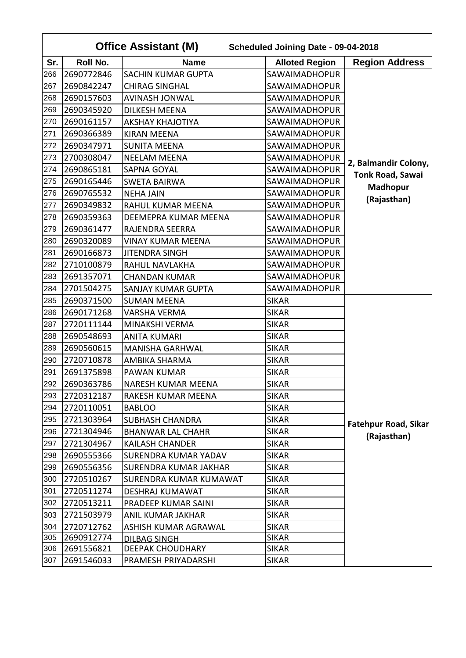|     | <b>Office Assistant (M)</b><br>Scheduled Joining Date - 09-04-2018 |                             |                       |                             |  |
|-----|--------------------------------------------------------------------|-----------------------------|-----------------------|-----------------------------|--|
| Sr. | <b>Roll No.</b>                                                    | <b>Name</b>                 | <b>Alloted Region</b> | <b>Region Address</b>       |  |
| 266 | 2690772846                                                         | <b>SACHIN KUMAR GUPTA</b>   | SAWAIMADHOPUR         |                             |  |
| 267 | 2690842247                                                         | <b>CHIRAG SINGHAL</b>       | SAWAIMADHOPUR         |                             |  |
| 268 | 2690157603                                                         | <b>AVINASH JONWAL</b>       | SAWAIMADHOPUR         |                             |  |
| 269 | 2690345920                                                         | <b>DILKESH MEENA</b>        | SAWAIMADHOPUR         |                             |  |
| 270 | 2690161157                                                         | <b>AKSHAY KHAJOTIYA</b>     | SAWAIMADHOPUR         |                             |  |
| 271 | 2690366389                                                         | <b>KIRAN MEENA</b>          | SAWAIMADHOPUR         |                             |  |
| 272 | 2690347971                                                         | <b>SUNITA MEENA</b>         | SAWAIMADHOPUR         |                             |  |
| 273 | 2700308047                                                         | <b>NEELAM MEENA</b>         | SAWAIMADHOPUR         | 2, Balmandir Colony,        |  |
| 274 | 2690865181                                                         | <b>SAPNA GOYAL</b>          | SAWAIMADHOPUR         | Tonk Road, Sawai            |  |
| 275 | 2690165446                                                         | <b>SWETA BAIRWA</b>         | SAWAIMADHOPUR         | Madhopur                    |  |
| 276 | 2690765532                                                         | <b>NEHA JAIN</b>            | SAWAIMADHOPUR         |                             |  |
| 277 | 2690349832                                                         | RAHUL KUMAR MEENA           | SAWAIMADHOPUR         | (Rajasthan)                 |  |
| 278 | 2690359363                                                         | DEEMEPRA KUMAR MEENA        | SAWAIMADHOPUR         |                             |  |
| 279 | 2690361477                                                         | <b>RAJENDRA SEERRA</b>      | SAWAIMADHOPUR         |                             |  |
| 280 | 2690320089                                                         | <b>VINAY KUMAR MEENA</b>    | SAWAIMADHOPUR         |                             |  |
| 281 | 2690166873                                                         | <b>JITENDRA SINGH</b>       | SAWAIMADHOPUR         |                             |  |
| 282 | 2710100879                                                         | RAHUL NAVLAKHA              | SAWAIMADHOPUR         |                             |  |
| 283 | 2691357071                                                         | <b>CHANDAN KUMAR</b>        | SAWAIMADHOPUR         |                             |  |
| 284 | 2701504275                                                         | SANJAY KUMAR GUPTA          | SAWAIMADHOPUR         |                             |  |
| 285 | 2690371500                                                         | <b>SUMAN MEENA</b>          | <b>SIKAR</b>          |                             |  |
| 286 | 2690171268                                                         | VARSHA VERMA                | <b>SIKAR</b>          |                             |  |
| 287 | 2720111144                                                         | MINAKSHI VERMA              | <b>SIKAR</b>          |                             |  |
| 288 | 2690548693                                                         | <b>ANITA KUMARI</b>         | <b>SIKAR</b>          |                             |  |
| 289 | 2690560615                                                         | <b>MANISHA GARHWAL</b>      | <b>SIKAR</b>          |                             |  |
| 290 | 2720710878                                                         | <b>AMBIKA SHARMA</b>        | <b>SIKAR</b>          |                             |  |
| 291 | 2691375898                                                         | <b>PAWAN KUMAR</b>          | <b>SIKAR</b>          |                             |  |
| 292 | 2690363786                                                         | <b>NARESH KUMAR MEENA</b>   | <b>SIKAR</b>          |                             |  |
| 293 | 2720312187                                                         | RAKESH KUMAR MEENA          | <b>SIKAR</b>          |                             |  |
| 294 | 2720110051                                                         | <b>BABLOO</b>               | <b>SIKAR</b>          |                             |  |
| 295 | 2721303964                                                         | <b>SUBHASH CHANDRA</b>      | <b>SIKAR</b>          | <b>Fatehpur Road, Sikar</b> |  |
| 296 | 2721304946                                                         | <b>BHANWAR LAL CHAHR</b>    | <b>SIKAR</b>          | (Rajasthan)                 |  |
| 297 | 2721304967                                                         | <b>KAILASH CHANDER</b>      | <b>SIKAR</b>          |                             |  |
| 298 | 2690555366                                                         | <b>SURENDRA KUMAR YADAV</b> | <b>SIKAR</b>          |                             |  |
| 299 | 2690556356                                                         | SURENDRA KUMAR JAKHAR       | <b>SIKAR</b>          |                             |  |
| 300 | 2720510267                                                         | SURENDRA KUMAR KUMAWAT      | <b>SIKAR</b>          |                             |  |
| 301 | 2720511274                                                         | DESHRAJ KUMAWAT             | <b>SIKAR</b>          |                             |  |
| 302 | 2720513211                                                         | PRADEEP KUMAR SAINI         | <b>SIKAR</b>          |                             |  |
| 303 | 2721503979                                                         | ANIL KUMAR JAKHAR           | <b>SIKAR</b>          |                             |  |
| 304 | 2720712762                                                         | ASHISH KUMAR AGRAWAL        | <b>SIKAR</b>          |                             |  |
| 305 | 2690912774                                                         | DILBAG SINGH                | <b>SIKAR</b>          |                             |  |
| 306 | 2691556821                                                         | <b>DEEPAK CHOUDHARY</b>     | <b>SIKAR</b>          |                             |  |
| 307 | 2691546033                                                         | PRAMESH PRIYADARSHI         | <b>SIKAR</b>          |                             |  |